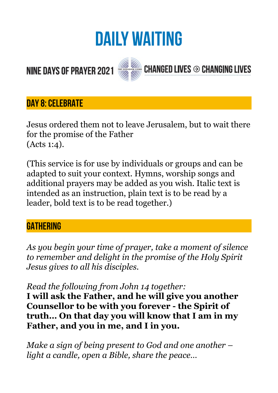# **DAILY WAITING**

# **NINE DAYS OF PRAYER 2021**



CHANGED LIVES  $\odot$  Changing Lives

### **DAY 8: CELEBRATE**

Jesus ordered them not to leave Jerusalem, but to wait there for the promise of the Father (Acts 1:4).

(This service is for use by individuals or groups and can be adapted to suit your context. Hymns, worship songs and additional prayers may be added as you wish. Italic text is intended as an instruction, plain text is to be read by a leader, bold text is to be read together.)

#### **GATHERING**

*As you begin your time of prayer, take a moment of silence to remember and delight in the promise of the Holy Spirit Jesus gives to all his disciples.* 

*Read the following from John 14 together:* 

**I will ask the Father, and he will give you another Counsellor to be with you forever - the Spirit of truth… On that day you will know that I am in my Father, and you in me, and I in you.** 

*Make a sign of being present to God and one another – light a candle, open a Bible, share the peace…*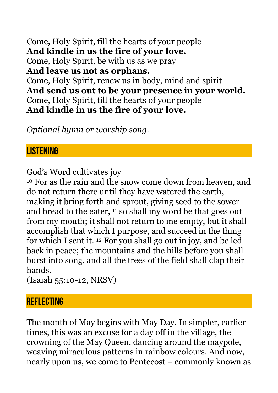Come, Holy Spirit, fill the hearts of your people **And kindle in us the fire of your love.**  Come, Holy Spirit, be with us as we pray **And leave us not as orphans.**  Come, Holy Spirit, renew us in body, mind and spirit **And send us out to be your presence in your world.**  Come, Holy Spirit, fill the hearts of your people **And kindle in us the fire of your love.** 

*Optional hymn or worship song.* 

#### **LISTENING**

God's Word cultivates joy

10 For as the rain and the snow come down from heaven, and do not return there until they have watered the earth, making it bring forth and sprout, giving seed to the sower and bread to the eater, 11 so shall my word be that goes out from my mouth; it shall not return to me empty, but it shall accomplish that which I purpose, and succeed in the thing for which I sent it. 12 For you shall go out in joy, and be led back in peace; the mountains and the hills before you shall burst into song, and all the trees of the field shall clap their hands.

(Isaiah 55:10-12, NRSV)

#### **REFLECTING**

The month of May begins with May Day. In simpler, earlier times, this was an excuse for a day off in the village, the crowning of the May Queen, dancing around the maypole, weaving miraculous patterns in rainbow colours. And now, nearly upon us, we come to Pentecost – commonly known as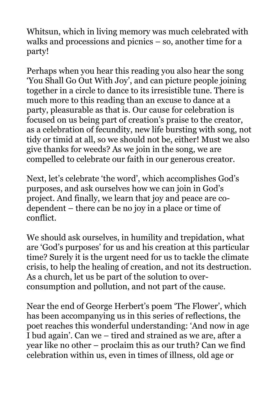Whitsun, which in living memory was much celebrated with walks and processions and picnics – so, another time for a party!

Perhaps when you hear this reading you also hear the song 'You Shall Go Out With Joy', and can picture people joining together in a circle to dance to its irresistible tune. There is much more to this reading than an excuse to dance at a party, pleasurable as that is. Our cause for celebration is focused on us being part of creation's praise to the creator, as a celebration of fecundity, new life bursting with song, not tidy or timid at all, so we should not be, either! Must we also give thanks for weeds? As we join in the song, we are compelled to celebrate our faith in our generous creator.

Next, let's celebrate 'the word', which accomplishes God's purposes, and ask ourselves how we can join in God's project. And finally, we learn that joy and peace are codependent – there can be no joy in a place or time of conflict.

We should ask ourselves, in humility and trepidation, what are 'God's purposes' for us and his creation at this particular time? Surely it is the urgent need for us to tackle the climate crisis, to help the healing of creation, and not its destruction. As a church, let us be part of the solution to overconsumption and pollution, and not part of the cause.

Near the end of George Herbert's poem 'The Flower', which has been accompanying us in this series of reflections, the poet reaches this wonderful understanding: 'And now in age I bud again'. Can we – tired and strained as we are, after a year like no other – proclaim this as our truth? Can we find celebration within us, even in times of illness, old age or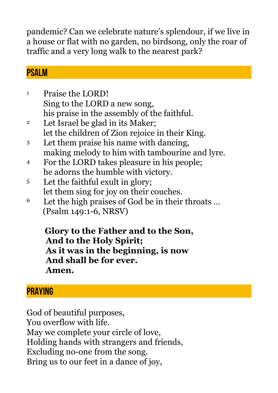pandemic? Can we celebrate nature's splendour, if we live in a house or flat with no garden, no birdsong, only the roar of traffic and a very long walk to the nearest park?

### **PSALM**

- 1 Praise the LORD! Sing to the LORD a new song, his praise in the assembly of the faithful.
- 2 Let Israel be glad in its Maker; let the children of Zion rejoice in their King.
- 3 Let them praise his name with dancing, making melody to him with tambourine and lyre.
- 4 For the LORD takes pleasure in his people; he adorns the humble with victory.
- 5 Let the faithful exult in glory; let them sing for joy on their couches.
- 6 Let the high praises of God be in their throats … (Psalm 149:1-6, NRSV)

 **Glory to the Father and to the Son, And to the Holy Spirit; As it was in the beginning, is now And shall be for ever. Amen.** 

## **PRAYING**

God of beautiful purposes, You overflow with life. May we complete your circle of love, Holding hands with strangers and friends, Excluding no-one from the song. Bring us to our feet in a dance of joy,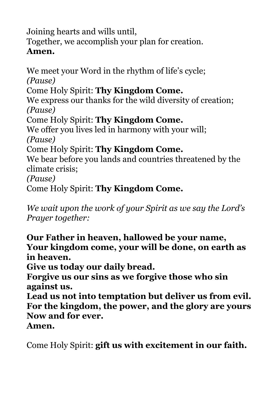Joining hearts and wills until,

Together, we accomplish your plan for creation.

#### **Amen.**

We meet your Word in the rhythm of life's cycle; *(Pause)*  Come Holy Spirit: **Thy Kingdom Come.** We express our thanks for the wild diversity of creation; *(Pause)*  Come Holy Spirit: **Thy Kingdom Come.** We offer you lives led in harmony with your will; *(Pause)*  Come Holy Spirit: **Thy Kingdom Come.** We bear before you lands and countries threatened by the climate crisis; *(Pause)*  Come Holy Spirit: **Thy Kingdom Come.**

*We wait upon the work of your Spirit as we say the Lord's Prayer together:* 

**Our Father in heaven, hallowed be your name, Your kingdom come, your will be done, on earth as in heaven.** 

**Give us today our daily bread.** 

**Forgive us our sins as we forgive those who sin against us.** 

**Lead us not into temptation but deliver us from evil. For the kingdom, the power, and the glory are yours Now and for ever.** 

**Amen.** 

Come Holy Spirit: **gift us with excitement in our faith.**